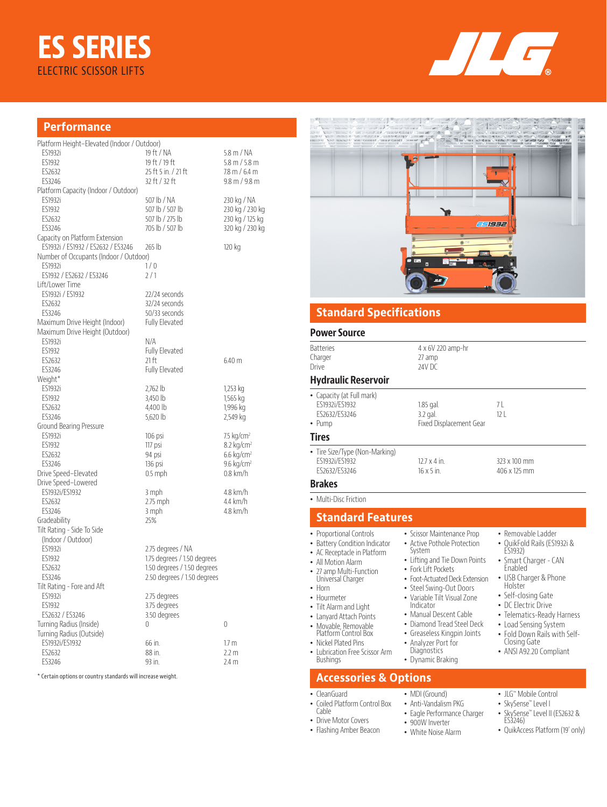# **ES SERIES** ELECTRIC SCISSOR LIFTS



#### **Performance**

| Platform Height-Elevated (Indoor / Outdoor)                          |                             |                                 |
|----------------------------------------------------------------------|-----------------------------|---------------------------------|
| ES1932i                                                              | 19 ft / NA                  | 5.8 m / NA                      |
| ES1932                                                               | 19 ft / 19 ft               | $5.8 \text{ m} / 5.8 \text{ m}$ |
| ES2632                                                               | 25 ft 5 in. / 21 ft         | $7.8 \text{ m} / 6.4 \text{ m}$ |
| ES3246                                                               | 32 ft / 32 ft               | $9.8 \text{ m} / 9.8 \text{ m}$ |
| Platform Capacity (Indoor / Outdoor)                                 |                             |                                 |
| <b>ES1932i</b>                                                       | 507 lb / NA                 |                                 |
| <b>FS1932</b>                                                        |                             | 230 kg / NA                     |
|                                                                      | 507 lb / 507 lb             | 230 kg / 230 kg                 |
| ES2632                                                               | 507 lb / 275 lb             | 230 kg / 125 kg                 |
| ES3246                                                               | 705 lb / 507 lb             | 320 kg / 230 kg                 |
| Capacity on Platform Extension<br>ES1932i / ES1932 / ES2632 / ES3246 | 265 lb                      | 120 kg                          |
| Number of Occupants (Indoor / Outdoor)                               |                             |                                 |
| <b>FS1932i</b>                                                       | 1/0                         |                                 |
| ES1932 / ES2632 / ES3246                                             | 2/1                         |                                 |
| Lift/Lower Time                                                      |                             |                                 |
| ES1932i / ES1932                                                     | 22/24 seconds               |                                 |
| ES2632                                                               | 32/24 seconds               |                                 |
| ES3246                                                               |                             |                                 |
|                                                                      | 50/33 seconds               |                                 |
| Maximum Drive Height (Indoor)                                        | <b>Fully Elevated</b>       |                                 |
| Maximum Drive Height (Outdoor)                                       |                             |                                 |
| <b>ES1932i</b>                                                       | N/A                         |                                 |
| ES1932                                                               | <b>Fully Elevated</b>       |                                 |
| <b>FS2632</b>                                                        | 21 ft                       | 6.40 m                          |
| ES3246                                                               | <b>Fully Elevated</b>       |                                 |
| Weight*                                                              |                             |                                 |
| <b>ES1932i</b>                                                       | 2,762 lb                    | 1,253 kg                        |
| ES1932                                                               | 3,450 lb                    | 1,565 kg                        |
| ES2632                                                               | 4,400 lb                    | 1,996 kg                        |
| FS3246                                                               | 5.620 lb                    | 2,549 kg                        |
| Ground Bearing Pressure                                              |                             |                                 |
| <b>ES1932i</b>                                                       | 106 psi                     | 7.5 $kg/cm2$                    |
| ES1932                                                               | 117 psi                     | $8.2$ kg/cm <sup>2</sup>        |
| ES2632                                                               | 94 psi                      | $6.6 \text{ kg/cm}^2$           |
| ES3246                                                               | 136 psi                     | $9.6 \text{ kg/cm}^2$           |
| Drive Speed-Elevated                                                 | $0.5$ mph                   | $0.8$ km/h                      |
| Drive Speed-Lowered                                                  |                             |                                 |
| ES1932i/ES1932                                                       | 3 mph                       | 4.8 km/h                        |
| ES2632                                                               | 2.75 mph                    | 4.4 km/h                        |
| ES3246                                                               | 3 mph                       | 4.8 km/h                        |
| Gradeability                                                         | 25%                         |                                 |
| Tilt Rating - Side To Side                                           |                             |                                 |
| (Indoor / Outdoor)                                                   |                             |                                 |
| <b>ES1932i</b>                                                       | 2.75 degrees / NA           |                                 |
| ES1932                                                               | 1.75 degrees / 1.50 degrees |                                 |
|                                                                      | 1.50 degrees / 1.50 degrees |                                 |
| ES2632                                                               |                             |                                 |
| ES3246                                                               | 2.50 degrees / 1.50 degrees |                                 |
| Tilt Rating - Fore and Aft                                           |                             |                                 |
| ES1932i                                                              | 2.75 degrees                |                                 |
| ES1932                                                               | 3.75 degrees                |                                 |
| ES2632 / ES3246                                                      | 3.50 degrees                |                                 |
| Turning Radius (Inside)                                              | 0                           | 0                               |
| Turning Radius (Outside)                                             |                             |                                 |
| ES1932i/ES1932                                                       | 66 in.                      | 1.7 <sub>m</sub>                |
| ES2632                                                               | 88 in.                      | 2.2 m                           |
| ES3246                                                               | 93 in.                      | 2.4 m                           |
|                                                                      |                             |                                 |

\* Certain options or country standards will increase weight.



### **Standard Specifications**

#### **Power Source**

| <b>Batteries</b><br>Charger<br>Drive                                         | 4 x 6V 220 amp-hr<br>27 amp<br>24V DC              |                              |
|------------------------------------------------------------------------------|----------------------------------------------------|------------------------------|
| <b>Hydraulic Reservoir</b>                                                   |                                                    |                              |
| • Capacity (at Full mark)<br>ES1932i/ES1932<br>FS2632/FS3246<br>$\cdot$ Pump | $1.85$ gal.<br>3.2 gal.<br>Fixed Displacement Gear | 7 I<br>12 <sup>1</sup>       |
| <b>Tires</b>                                                                 |                                                    |                              |
| • Tire Size/Type (Non-Marking)<br>ES1932i/ES1932<br>FS2632/FS3246            | $12.7 \times 4$ in.<br>$16 \times 5$ in.           | 323 x 100 mm<br>406 x 125 mm |
| <b>Brakes</b>                                                                |                                                    |                              |
| A Author Devis Estate as                                                     |                                                    |                              |

• Scissor Maintenance Prop • Active Pothole Protection

• Lifting and Tie Down Points • Fork Lift Pockets • Foot-Actuated Deck Extension • Steel Swing-Out Doors • Variable Tilt Visual Zone Indicator • Manual Descent Cable • Diamond Tread Steel Deck • Greaseless Kingpin Joints • Analyzer Port for Diagnostics • Dynamic Braking

System

• MDI (Ground) • Anti-Vandalism PKG • Eagle Performance Charger • 900W Inverter • White Noise Alarm

• Multi-Disc Friction

#### **Standard Features**

- Proportional Controls
- Battery Condition Indicator
- AC Receptacle in Platform • All Motion Alarm
- 
- 27 amp Multi-Function Universal Charger
- Horn
- Hourmeter • Tilt Alarm and Light
- Lanyard Attach Points
- Movable, Removable
- Platform Control Box
- Nickel Plated Pins • Lubrication Free Scissor Arm
- **Bushings**

#### **Accessories & Options**

- CleanGuard
- Coiled Platform Control Box Cable
- Drive Motor Covers
- Flashing Amber Beacon

• JLG™ Mobile Control

• Removable Ladder • QuikFold Rails (ES1932i &

ES1932) • Smart Charger - CAN Enabled • USB Charger & Phone Holster • Self-closing Gate • DC Electric Drive • Telematics-Ready Harness • Load Sensing System • Fold Down Rails with Self-Closing Gate • ANSI A92.20 Compliant

- SkySense™ Level I
- SkySense™ Level II (ES2632 & ES3246)
- QuikAccess Platform (19' only)